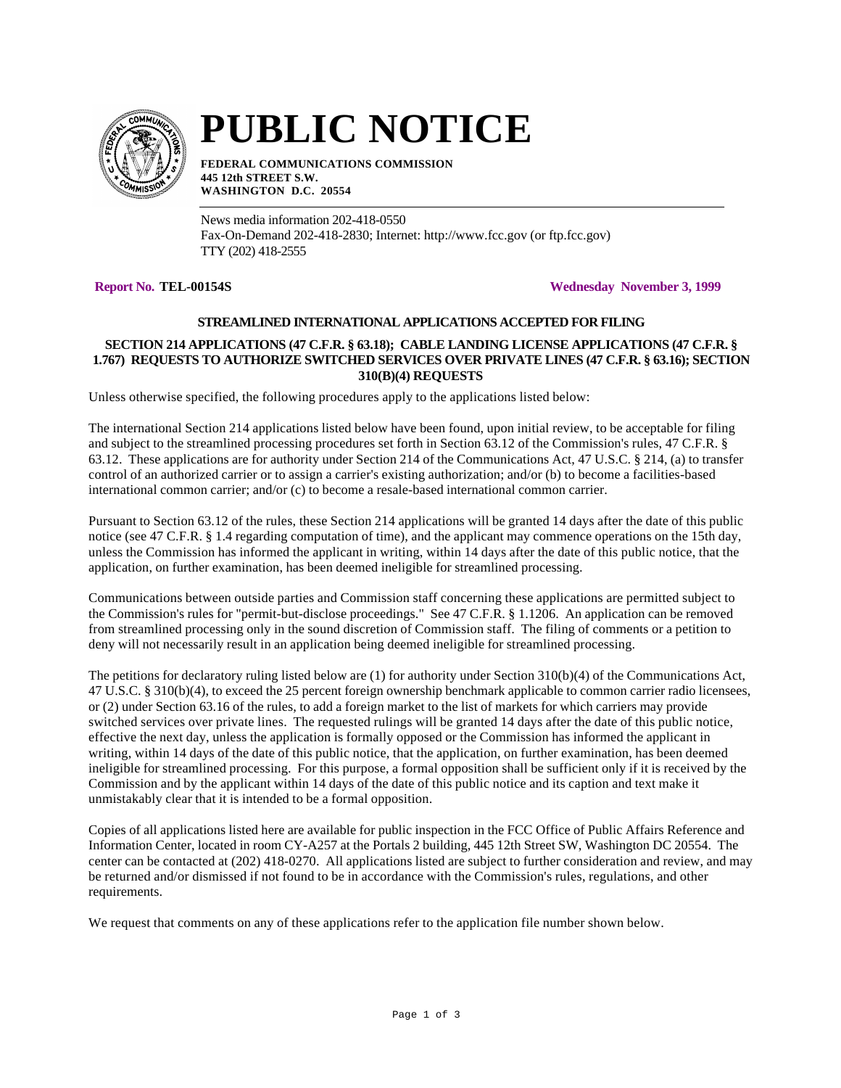

# **PUBLIC NOTICE**

**FEDERAL COMMUNICATIONS COMMISSION 445 12th STREET S.W. WASHINGTON D.C. 20554**

News media information 202-418-0550 Fax-On-Demand 202-418-2830; Internet: http://www.fcc.gov (or ftp.fcc.gov) TTY (202) 418-2555

**Report No. TEL-00154S Wednesday November 3, 1999**

# **STREAMLINED INTERNATIONAL APPLICATIONS ACCEPTED FOR FILING**

# **SECTION 214 APPLICATIONS (47 C.F.R. § 63.18); CABLE LANDING LICENSE APPLICATIONS (47 C.F.R. § 1.767) REQUESTS TO AUTHORIZE SWITCHED SERVICES OVER PRIVATE LINES (47 C.F.R. § 63.16); SECTION 310(B)(4) REQUESTS**

Unless otherwise specified, the following procedures apply to the applications listed below:

The international Section 214 applications listed below have been found, upon initial review, to be acceptable for filing and subject to the streamlined processing procedures set forth in Section 63.12 of the Commission's rules, 47 C.F.R. § 63.12. These applications are for authority under Section 214 of the Communications Act, 47 U.S.C. § 214, (a) to transfer control of an authorized carrier or to assign a carrier's existing authorization; and/or (b) to become a facilities-based international common carrier; and/or (c) to become a resale-based international common carrier.

Pursuant to Section 63.12 of the rules, these Section 214 applications will be granted 14 days after the date of this public notice (see 47 C.F.R. § 1.4 regarding computation of time), and the applicant may commence operations on the 15th day, unless the Commission has informed the applicant in writing, within 14 days after the date of this public notice, that the application, on further examination, has been deemed ineligible for streamlined processing.

Communications between outside parties and Commission staff concerning these applications are permitted subject to the Commission's rules for "permit-but-disclose proceedings." See 47 C.F.R. § 1.1206. An application can be removed from streamlined processing only in the sound discretion of Commission staff. The filing of comments or a petition to deny will not necessarily result in an application being deemed ineligible for streamlined processing.

The petitions for declaratory ruling listed below are (1) for authority under Section 310(b)(4) of the Communications Act, 47 U.S.C. § 310(b)(4), to exceed the 25 percent foreign ownership benchmark applicable to common carrier radio licensees, or (2) under Section 63.16 of the rules, to add a foreign market to the list of markets for which carriers may provide switched services over private lines. The requested rulings will be granted 14 days after the date of this public notice, effective the next day, unless the application is formally opposed or the Commission has informed the applicant in writing, within 14 days of the date of this public notice, that the application, on further examination, has been deemed ineligible for streamlined processing. For this purpose, a formal opposition shall be sufficient only if it is received by the Commission and by the applicant within 14 days of the date of this public notice and its caption and text make it unmistakably clear that it is intended to be a formal opposition.

Copies of all applications listed here are available for public inspection in the FCC Office of Public Affairs Reference and Information Center, located in room CY-A257 at the Portals 2 building, 445 12th Street SW, Washington DC 20554. The center can be contacted at (202) 418-0270. All applications listed are subject to further consideration and review, and may be returned and/or dismissed if not found to be in accordance with the Commission's rules, regulations, and other requirements.

We request that comments on any of these applications refer to the application file number shown below.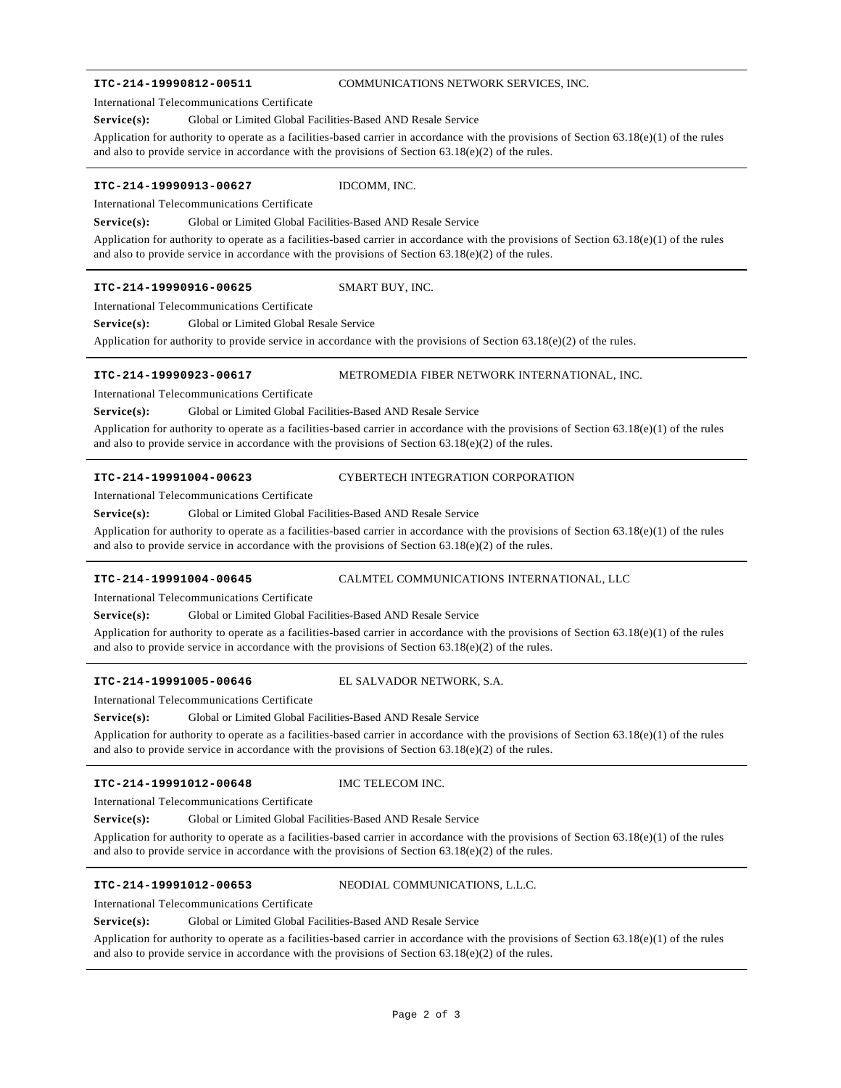### **ITC-214-19990812-00511** COMMUNICATIONS NETWORK SERVICES, INC.

International Telecommunications Certificate

### Service(s): Global or Limited Global Facilities-Based AND Resale Service

Application for authority to operate as a facilities-based carrier in accordance with the provisions of Section 63.18(e)(1) of the rules and also to provide service in accordance with the provisions of Section  $63.18(e)(2)$  of the rules.

### **ITC-214-19990913-00627** IDCOMM, INC.

International Telecommunications Certificate

**Service(s):** Global or Limited Global Facilities-Based AND Resale Service

Application for authority to operate as a facilities-based carrier in accordance with the provisions of Section  $63.18(e)(1)$  of the rules and also to provide service in accordance with the provisions of Section  $63.18(e)(2)$  of the rules.

### **ITC-214-19990916-00625** SMART BUY, INC.

International Telecommunications Certificate

**Service(s):** Global or Limited Global Resale Service

Application for authority to provide service in accordance with the provisions of Section 63.18(e)(2) of the rules.

### **ITC-214-19990923-00617** METROMEDIA FIBER NETWORK INTERNATIONAL, INC.

International Telecommunications Certificate

**Service(s):** Global or Limited Global Facilities-Based AND Resale Service

Application for authority to operate as a facilities-based carrier in accordance with the provisions of Section  $63.18(e)(1)$  of the rules and also to provide service in accordance with the provisions of Section  $63.18(e)(2)$  of the rules.

**ITC-214-19991004-00623** CYBERTECH INTEGRATION CORPORATION

International Telecommunications Certificate

Service(s): Global or Limited Global Facilities-Based AND Resale Service

Application for authority to operate as a facilities-based carrier in accordance with the provisions of Section 63.18(e)(1) of the rules and also to provide service in accordance with the provisions of Section 63.18(e)(2) of the rules.

**ITC-214-19991004-00645** CALMTEL COMMUNICATIONS INTERNATIONAL, LLC

International Telecommunications Certificate

**Service(s):** Global or Limited Global Facilities-Based AND Resale Service

Application for authority to operate as a facilities-based carrier in accordance with the provisions of Section 63.18(e)(1) of the rules and also to provide service in accordance with the provisions of Section  $63.18(e)(2)$  of the rules.

### **ITC-214-19991005-00646** EL SALVADOR NETWORK, S.A.

International Telecommunications Certificate

Application for authority to operate as a facilities-based carrier in accordance with the provisions of Section  $63.18(e)(1)$  of the rules Service(s): Global or Limited Global Facilities-Based AND Resale Service

and also to provide service in accordance with the provisions of Section  $63.18(e)(2)$  of the rules.

### **ITC-214-19991012-00648** IMC TELECOM INC.

International Telecommunications Certificate

**Service(s):** Global or Limited Global Facilities-Based AND Resale Service

Application for authority to operate as a facilities-based carrier in accordance with the provisions of Section 63.18(e)(1) of the rules and also to provide service in accordance with the provisions of Section  $63.18(e)(2)$  of the rules.

**ITC-214-19991012-00653** NEODIAL COMMUNICATIONS, L.L.C.

### International Telecommunications Certificate

**Service(s):** Global or Limited Global Facilities-Based AND Resale Service

Application for authority to operate as a facilities-based carrier in accordance with the provisions of Section  $63.18(e)(1)$  of the rules and also to provide service in accordance with the provisions of Section  $63.18(e)(2)$  of the rules.